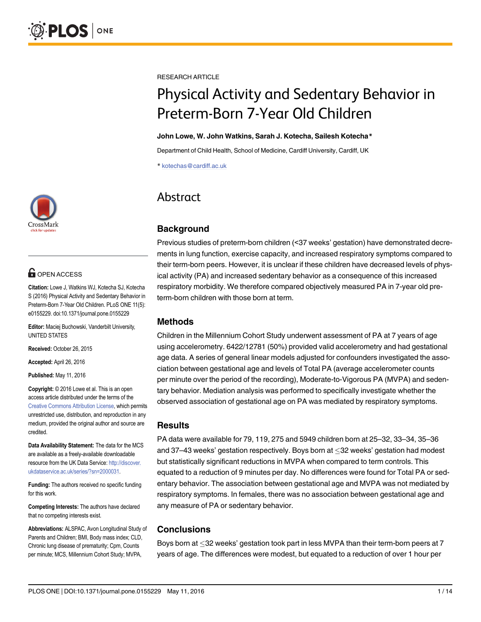

# **G** OPEN ACCESS

Citation: Lowe J, Watkins WJ, Kotecha SJ, Kotecha S (2016) Physical Activity and Sedentary Behavior in Preterm-Born 7-Year Old Children. PLoS ONE 11(5): e0155229. doi:10.1371/journal.pone.0155229

Editor: Maciej Buchowski, Vanderbilt University, UNITED STATES

Received: October 26, 2015

Accepted: April 26, 2016

Published: May 11, 2016

Copyright: © 2016 Lowe et al. This is an open access article distributed under the terms of the [Creative Commons Attribution License,](http://creativecommons.org/licenses/by/4.0/) which permits unrestricted use, distribution, and reproduction in any medium, provided the original author and source are credited.

Data Availability Statement: The data for the MCS are available as a freely-available downloadable resource from the UK Data Service: [http://discover.](http://discover.ukdataservice.ac.uk/series/?sn=2000031) [ukdataservice.ac.uk/series/?sn=2000031.](http://discover.ukdataservice.ac.uk/series/?sn=2000031)

Funding: The authors received no specific funding for this work.

Competing Interests: The authors have declared that no competing interests exist.

Abbreviations: ALSPAC, Avon Longitudinal Study of Parents and Children; BMI, Body mass index; CLD, Chronic lung disease of prematurity; Cpm, Counts per minute; MCS, Millennium Cohort Study; MVPA,

RESEARCH ARTICLE

# Physical Activity and Sedentary Behavior in Preterm-Born 7-Year Old Children

#### John Lowe, W. John Watkins, Sarah J. Kotecha, Sailesh Kotecha\*

Department of Child Health, School of Medicine, Cardiff University, Cardiff, UK

\* kotechas@cardiff.ac.uk

# Abstract

# **Background**

Previous studies of preterm-born children (<37 weeks' gestation) have demonstrated decrements in lung function, exercise capacity, and increased respiratory symptoms compared to their term-born peers. However, it is unclear if these children have decreased levels of physical activity (PA) and increased sedentary behavior as a consequence of this increased respiratory morbidity. We therefore compared objectively measured PA in 7-year old preterm-born children with those born at term.

# Methods

Children in the Millennium Cohort Study underwent assessment of PA at 7 years of age using accelerometry. 6422/12781 (50%) provided valid accelerometry and had gestational age data. A series of general linear models adjusted for confounders investigated the association between gestational age and levels of Total PA (average accelerometer counts per minute over the period of the recording), Moderate-to-Vigorous PA (MVPA) and sedentary behavior. Mediation analysis was performed to specifically investigate whether the observed association of gestational age on PA was mediated by respiratory symptoms.

#### Results

PA data were available for 79, 119, 275 and 5949 children born at 25–32, 33–34, 35–36 and 37–43 weeks' gestation respectively. Boys born at 32 weeks' gestation had modest but statistically significant reductions in MVPA when compared to term controls. This equated to a reduction of 9 minutes per day. No differences were found for Total PA or sedentary behavior. The association between gestational age and MVPA was not mediated by respiratory symptoms. In females, there was no association between gestational age and any measure of PA or sedentary behavior.

# **Conclusions**

Boys born at  $\leq$ 32 weeks' gestation took part in less MVPA than their term-born peers at 7 years of age. The differences were modest, but equated to a reduction of over 1 hour per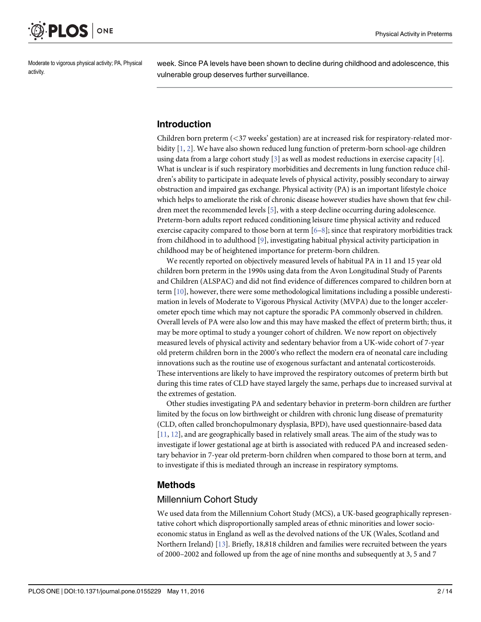<span id="page-1-0"></span>

Moderate to vigorous physical activity; PA, Physical activity.

week. Since PA levels have been shown to decline during childhood and adolescence, this vulnerable group deserves further surveillance.

#### Introduction

Children born preterm (<37 weeks' gestation) are at increased risk for respiratory-related morbidity [[1](#page-11-0), [2\]](#page-11-0). We have also shown reduced lung function of preterm-born school-age children using data from a large cohort study  $[3]$  $[3]$  $[3]$  as well as modest reductions in exercise capacity  $[4]$  $[4]$ . What is unclear is if such respiratory morbidities and decrements in lung function reduce children's ability to participate in adequate levels of physical activity, possibly secondary to airway obstruction and impaired gas exchange. Physical activity (PA) is an important lifestyle choice which helps to ameliorate the risk of chronic disease however studies have shown that few children meet the recommended levels [[5\]](#page-12-0), with a steep decline occurring during adolescence. Preterm-born adults report reduced conditioning leisure time physical activity and reduced exercise capacity compared to those born at term  $[6-8]$  $[6-8]$  $[6-8]$  $[6-8]$ ; since that respiratory morbidities track from childhood in to adulthood [\[9](#page-12-0)], investigating habitual physical activity participation in childhood may be of heightened importance for preterm-born children.

We recently reported on objectively measured levels of habitual PA in 11 and 15 year old children born preterm in the 1990s using data from the Avon Longitudinal Study of Parents and Children (ALSPAC) and did not find evidence of differences compared to children born at term [[10](#page-12-0)], however, there were some methodological limitations including a possible underestimation in levels of Moderate to Vigorous Physical Activity (MVPA) due to the longer accelerometer epoch time which may not capture the sporadic PA commonly observed in children. Overall levels of PA were also low and this may have masked the effect of preterm birth; thus, it may be more optimal to study a younger cohort of children. We now report on objectively measured levels of physical activity and sedentary behavior from a UK-wide cohort of 7-year old preterm children born in the 2000's who reflect the modern era of neonatal care including innovations such as the routine use of exogenous surfactant and antenatal corticosteroids. These interventions are likely to have improved the respiratory outcomes of preterm birth but during this time rates of CLD have stayed largely the same, perhaps due to increased survival at the extremes of gestation.

Other studies investigating PA and sedentary behavior in preterm-born children are further limited by the focus on low birthweight or children with chronic lung disease of prematurity (CLD, often called bronchopulmonary dysplasia, BPD), have used questionnaire-based data [\[11](#page-12-0), [12\]](#page-12-0), and are geographically based in relatively small areas. The aim of the study was to investigate if lower gestational age at birth is associated with reduced PA and increased sedentary behavior in 7-year old preterm-born children when compared to those born at term, and to investigate if this is mediated through an increase in respiratory symptoms.

#### Methods

#### Millennium Cohort Study

We used data from the Millennium Cohort Study (MCS), a UK-based geographically representative cohort which disproportionally sampled areas of ethnic minorities and lower socioeconomic status in England as well as the devolved nations of the UK (Wales, Scotland and Northern Ireland) [[13](#page-12-0)]. Briefly, 18,818 children and families were recruited between the years of 2000–2002 and followed up from the age of nine months and subsequently at 3, 5 and 7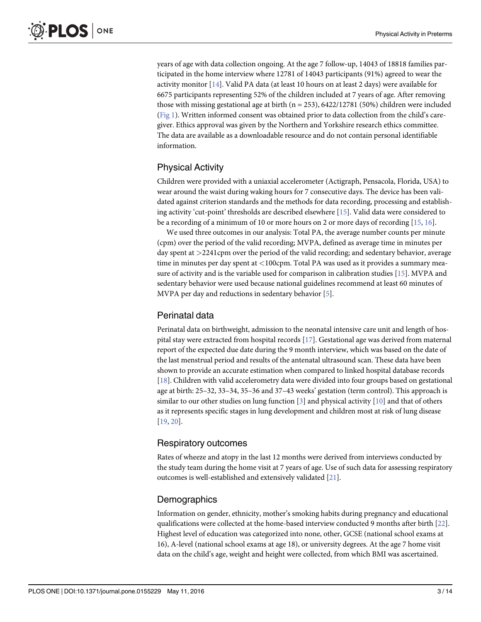<span id="page-2-0"></span>years of age with data collection ongoing. At the age 7 follow-up, 14043 of 18818 families participated in the home interview where 12781 of 14043 participants (91%) agreed to wear the activity monitor [[14](#page-12-0)]. Valid PA data (at least 10 hours on at least 2 days) were available for 6675 participants representing 52% of the children included at 7 years of age. After removing those with missing gestational age at birth ( $n = 253$ ), 6422/12781 (50%) children were included [\(Fig 1\)](#page-3-0). Written informed consent was obtained prior to data collection from the child's caregiver. Ethics approval was given by the Northern and Yorkshire research ethics committee. The data are available as a downloadable resource and do not contain personal identifiable information.

# Physical Activity

Children were provided with a uniaxial accelerometer (Actigraph, Pensacola, Florida, USA) to wear around the waist during waking hours for 7 consecutive days. The device has been validated against criterion standards and the methods for data recording, processing and establishing activity 'cut-point' thresholds are described elsewhere  $[15]$ . Valid data were considered to be a recording of a minimum of 10 or more hours on 2 or more days of recording  $[15, 16]$  $[15, 16]$  $[15, 16]$  $[15, 16]$  $[15, 16]$ .

We used three outcomes in our analysis: Total PA, the average number counts per minute (cpm) over the period of the valid recording; MVPA, defined as average time in minutes per day spent at >2241cpm over the period of the valid recording; and sedentary behavior, average time in minutes per day spent at <100cpm. Total PA was used as it provides a summary measure of activity and is the variable used for comparison in calibration studies [\[15\]](#page-12-0). MVPA and sedentary behavior were used because national guidelines recommend at least 60 minutes of MVPA per day and reductions in sedentary behavior [[5\]](#page-12-0).

# Perinatal data

Perinatal data on birthweight, admission to the neonatal intensive care unit and length of hospital stay were extracted from hospital records [\[17\]](#page-12-0). Gestational age was derived from maternal report of the expected due date during the 9 month interview, which was based on the date of the last menstrual period and results of the antenatal ultrasound scan. These data have been shown to provide an accurate estimation when compared to linked hospital database records [\[18](#page-12-0)]. Children with valid accelerometry data were divided into four groups based on gestational age at birth: 25–32, 33–34, 35–36 and 37–43 weeks' gestation (term control). This approach is similar to our other studies on lung function [\[3\]](#page-11-0) and physical activity [\[10\]](#page-12-0) and that of others as it represents specific stages in lung development and children most at risk of lung disease [\[19](#page-12-0), [20\]](#page-12-0).

# Respiratory outcomes

Rates of wheeze and atopy in the last 12 months were derived from interviews conducted by the study team during the home visit at 7 years of age. Use of such data for assessing respiratory outcomes is well-established and extensively validated [\[21\]](#page-12-0).

# Demographics

Information on gender, ethnicity, mother's smoking habits during pregnancy and educational qualifications were collected at the home-based interview conducted 9 months after birth [\[22\]](#page-12-0). Highest level of education was categorized into none, other, GCSE (national school exams at 16), A-level (national school exams at age 18), or university degrees. At the age 7 home visit data on the child's age, weight and height were collected, from which BMI was ascertained.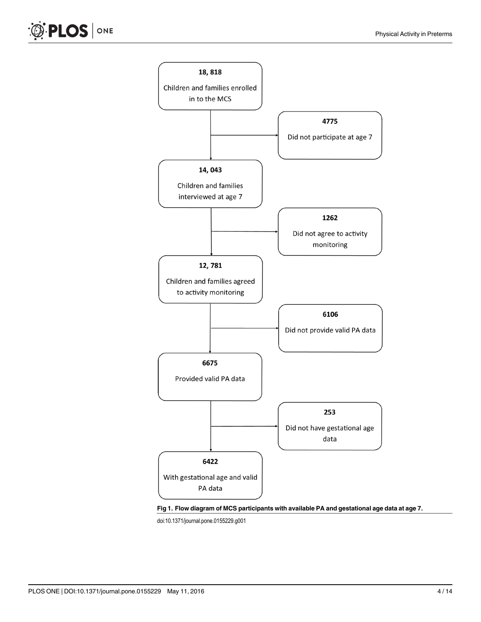<span id="page-3-0"></span>



doi:10.1371/journal.pone.0155229.g001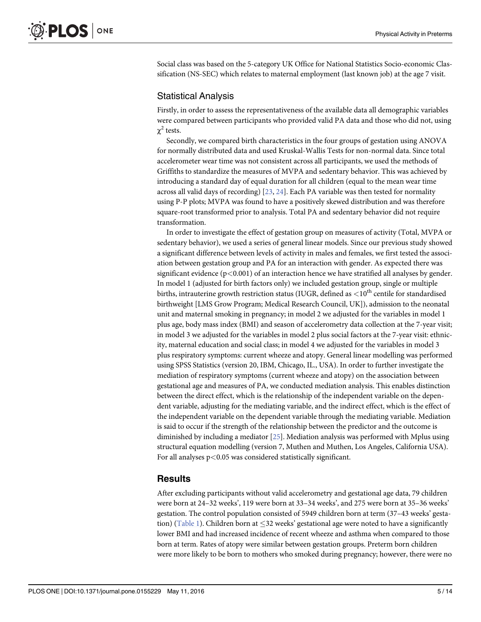<span id="page-4-0"></span>Social class was based on the 5-category UK Office for National Statistics Socio-economic Classification (NS-SEC) which relates to maternal employment (last known job) at the age 7 visit.

#### Statistical Analysis

Firstly, in order to assess the representativeness of the available data all demographic variables were compared between participants who provided valid PA data and those who did not, using  $χ<sup>2</sup>$  tests.

Secondly, we compared birth characteristics in the four groups of gestation using ANOVA for normally distributed data and used Kruskal-Wallis Tests for non-normal data. Since total accelerometer wear time was not consistent across all participants, we used the methods of Griffiths to standardize the measures of MVPA and sedentary behavior. This was achieved by introducing a standard day of equal duration for all children (equal to the mean wear time across all valid days of recording) [\[23](#page-12-0), [24](#page-13-0)]. Each PA variable was then tested for normality using P-P plots; MVPA was found to have a positively skewed distribution and was therefore square-root transformed prior to analysis. Total PA and sedentary behavior did not require transformation.

In order to investigate the effect of gestation group on measures of activity (Total, MVPA or sedentary behavior), we used a series of general linear models. Since our previous study showed a significant difference between levels of activity in males and females, we first tested the association between gestation group and PA for an interaction with gender. As expected there was significant evidence ( $p<0.001$ ) of an interaction hence we have stratified all analyses by gender. In model 1 (adjusted for birth factors only) we included gestation group, single or multiple births, intrauterine growth restriction status (IUGR, defined as  $<$  10<sup>th</sup> centile for standardised birthweight [LMS Grow Program; Medical Research Council, UK]), admission to the neonatal unit and maternal smoking in pregnancy; in model 2 we adjusted for the variables in model 1 plus age, body mass index (BMI) and season of accelerometry data collection at the 7-year visit; in model 3 we adjusted for the variables in model 2 plus social factors at the 7-year visit: ethnicity, maternal education and social class; in model 4 we adjusted for the variables in model 3 plus respiratory symptoms: current wheeze and atopy. General linear modelling was performed using SPSS Statistics (version 20, IBM, Chicago, IL., USA). In order to further investigate the mediation of respiratory symptoms (current wheeze and atopy) on the association between gestational age and measures of PA, we conducted mediation analysis. This enables distinction between the direct effect, which is the relationship of the independent variable on the dependent variable, adjusting for the mediating variable, and the indirect effect, which is the effect of the independent variable on the dependent variable through the mediating variable. Mediation is said to occur if the strength of the relationship between the predictor and the outcome is diminished by including a mediator [\[25\]](#page-13-0). Mediation analysis was performed with Mplus using structural equation modelling (version 7, Muthen and Muthen, Los Angeles, California USA). For all analyses  $p<0.05$  was considered statistically significant.

#### **Results**

After excluding participants without valid accelerometry and gestational age data, 79 children were born at 24–32 weeks', 119 were born at 33–34 weeks', and 275 were born at 35–36 weeks' gestation. The control population consisted of 5949 children born at term (37–43 weeks' gesta-tion) [\(Table 1](#page-5-0)). Children born at  $\leq$ 32 weeks' gestational age were noted to have a significantly lower BMI and had increased incidence of recent wheeze and asthma when compared to those born at term. Rates of atopy were similar between gestation groups. Preterm born children were more likely to be born to mothers who smoked during pregnancy; however, there were no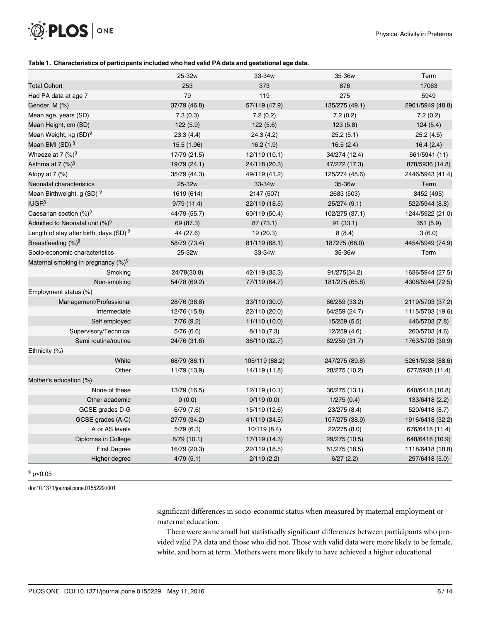#### [Table 1.](#page-4-0) Characteristics of participants included who had valid PA data and gestational age data.

| <b>Total Cohort</b><br>253<br>373<br>876<br>17063<br>79<br>119<br>275<br>Had PA data at age 7<br>5949<br>37/79 (46.8)<br>57/119 (47.9)<br>135/275 (49.1)<br>Gender, M (%) |                      |          | 33-34w   | 35-36w   | Term             |  |
|---------------------------------------------------------------------------------------------------------------------------------------------------------------------------|----------------------|----------|----------|----------|------------------|--|
|                                                                                                                                                                           |                      |          |          |          |                  |  |
|                                                                                                                                                                           |                      |          |          |          |                  |  |
|                                                                                                                                                                           |                      |          |          |          | 2901/5949 (48.8) |  |
|                                                                                                                                                                           | Mean age, years (SD) | 7.3(0.3) | 7.2(0.2) | 7.2(0.2) | 7.2(0.2)         |  |
| Mean Height, cm (SD)<br>122(5.9)<br>122(5.6)<br>123(5.8)<br>124(5.4)                                                                                                      |                      |          |          |          |                  |  |
| Mean Weight, kg (SD) <sup>§</sup><br>23.3(4.4)<br>24.3(4.2)<br>25.2(5.1)                                                                                                  |                      |          |          |          | 25.2(4.5)        |  |
| Mean BMI (SD) <sup>§</sup><br>15.5 (1.96)<br>16.2(1.9)<br>16.5(2.4)                                                                                                       |                      |          |          |          | 16.4(2.4)        |  |
| Wheeze at 7 $(\%)^{\S}$<br>17/79 (21.5)<br>12/119 (10.1)<br>34/274 (12.4)                                                                                                 |                      |          |          |          | 661/5941 (11)    |  |
| Asthma at 7 $(\%)^{\S}$<br>19/79 (24.1)<br>24/118 (20.3)<br>47/272 (17.3)                                                                                                 |                      |          |          |          | 878/5936 (14.8)  |  |
| Atopy at $7$ (%)<br>35/79 (44.3)<br>49/119 (41.2)<br>125/274 (45.6)                                                                                                       |                      |          |          |          | 2446/5943 (41.4) |  |
| Neonatal characteristics<br>25-32w<br>33-34w<br>35-36w<br>Term                                                                                                            |                      |          |          |          |                  |  |
| Mean Birthweight, g (SD) <sup>§</sup><br>1619 (614)<br>2147 (507)<br>2683 (503)                                                                                           |                      |          |          |          | 3452 (495)       |  |
| <b>IUGR<sup>§</sup></b><br>9/79(11.4)<br>22/119 (18.5)<br>25/274 (9.1)                                                                                                    |                      |          |          |          | 522/5944 (8.8)   |  |
| Caesarian section $(\%)^{\S}$<br>44/79 (55.7)<br>60/119 (50.4)<br>102/275 (37.1)                                                                                          |                      |          |          |          | 1244/5922 (21.0) |  |
| Admitted to Neonatal unit $(\%)^{\S}$<br>69 (87.3)<br>87 (73.1)<br>91(33.1)                                                                                               |                      |          |          |          | 351(5.9)         |  |
| Length of stay after birth, days (SD) §<br>8(8.4)<br>3(6.0)<br>44 (27.6)<br>19 (20.3)                                                                                     |                      |          |          |          |                  |  |
| Breastfeeding (%) <sup>§</sup><br>58/79 (73.4)<br>187275 (68.0)<br>81/119 (68.1)                                                                                          |                      |          |          |          | 4454/5949 (74.9) |  |
| Socio-economic characteristics<br>25-32w<br>33-34w<br>35-36w<br>Term                                                                                                      |                      |          |          |          |                  |  |
| Maternal smoking in pregnancy (%) <sup>§</sup>                                                                                                                            |                      |          |          |          |                  |  |
| Smoking<br>24/78(30.8)<br>42/119 (35.3)<br>91/275(34.2)                                                                                                                   |                      |          |          |          | 1636/5944 (27.5) |  |
| Non-smoking<br>54/78 (69.2)<br>77/119 (64.7)<br>181/275 (65.8)                                                                                                            |                      |          |          |          | 4308/5944 (72.5) |  |
| Employment status (%)                                                                                                                                                     |                      |          |          |          |                  |  |
| Management/Professional<br>28/76 (36.8)<br>33/110 (30.0)<br>86/259 (33.2)                                                                                                 |                      |          |          |          | 2119/5703 (37.2) |  |
| Intermediate<br>22/110 (20.0)<br>64/259 (24.7)<br>12/76 (15.8)                                                                                                            |                      |          |          |          | 1115/5703 (19.6) |  |
| Self employed<br>7/76(9.2)<br>11/110 (10.0)<br>15/259(5.5)                                                                                                                |                      |          |          |          | 446/5703 (7.8)   |  |
| Supervisory/Technical<br>5/76 (6.6)<br>8/110(7.3)<br>12/259 (4.6)                                                                                                         |                      |          |          |          | 260/5703 (4.6)   |  |
| Semi routine/routine<br>24/76 (31.6)<br>36/110 (32.7)<br>82/259 (31.7)                                                                                                    |                      |          |          |          | 1763/5703 (30.9) |  |
| Ethnicity (%)                                                                                                                                                             |                      |          |          |          |                  |  |
| White<br>68/79 (86.1)<br>105/119 (88.2)<br>247/275 (89.8)                                                                                                                 |                      |          |          |          | 5261/5938 (88.6) |  |
| Other<br>11/79 (13.9)<br>14/119 (11.8)<br>28/275 (10.2)                                                                                                                   |                      |          |          |          | 677/5938 (11.4)  |  |
| Mother's education (%)                                                                                                                                                    |                      |          |          |          |                  |  |
| None of these<br>12/119 (10.1)<br>13/79 (16.5)<br>36/275 (13.1)                                                                                                           |                      |          |          |          | 640/6418 (10.8)  |  |
| Other academic<br>0/119(0.0)<br>1/275(0.4)<br>0(0.0)                                                                                                                      |                      |          |          |          | 133/6418 (2.2)   |  |
| GCSE grades D-G<br>6/79(7.6)<br>15/119 (12.6)<br>23/275 (8.4)                                                                                                             |                      |          |          |          | 520/6418 (8.7)   |  |
| GCSE grades (A-C)<br>27/79 (34.2)<br>41/119 (34.5)<br>107/275 (38.9)                                                                                                      |                      |          |          |          | 1916/6418 (32.2) |  |
| A or AS levels<br>5/79(6.3)<br>10/119 (8.4)<br>22/275 (8.0)                                                                                                               |                      |          |          |          | 676/6418 (11.4)  |  |
| Diplomas in College<br>8/79(10.1)<br>17/119 (14.3)<br>29/275 (10.5)                                                                                                       |                      |          |          |          | 648/6418 (10.9)  |  |
| <b>First Degree</b><br>16/79 (20.3)<br>51/275 (18.5)<br>22/119 (18.5)                                                                                                     |                      |          |          |          | 1118/6418 (18.8) |  |
| Higher degree<br>4/79(5.1)<br>2/119(2.2)<br>6/27(2.2)                                                                                                                     |                      |          |          |          | 297/6418 (5.0)   |  |

 $$p<0.05$ 

doi:10.1371/journal.pone.0155229.t001

<span id="page-5-0"></span>O PLOS ONE

significant differences in socio-economic status when measured by maternal employment or maternal education.

There were some small but statistically significant differences between participants who provided valid PA data and those who did not. Those with valid data were more likely to be female, white, and born at term. Mothers were more likely to have achieved a higher educational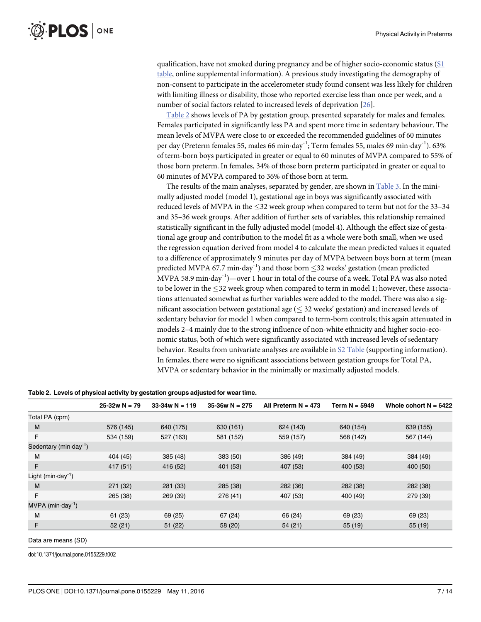<span id="page-6-0"></span>qualification, have not smoked during pregnancy and be of higher socio-economic status  $(S1)$  $(S1)$  $(S1)$ [table](#page-11-0), online supplemental information). A previous study investigating the demography of non-consent to participate in the accelerometer study found consent was less likely for children with limiting illness or disability, those who reported exercise less than once per week, and a number of social factors related to increased levels of deprivation [\[26\]](#page-13-0).

Table 2 shows levels of PA by gestation group, presented separately for males and females. Females participated in significantly less PA and spent more time in sedentary behaviour. The mean levels of MVPA were close to or exceeded the recommended guidelines of 60 minutes per day (Preterm females 55, males 66 min $\cdot$ day<sup>-1</sup>; Term females 55, males 69 min $\cdot$ day<sup>-1</sup>). 63% of term-born boys participated in greater or equal to 60 minutes of MVPA compared to 55% of those born preterm. In females, 34% of those born preterm participated in greater or equal to 60 minutes of MVPA compared to 36% of those born at term.

The results of the main analyses, separated by gender, are shown in [Table 3](#page-7-0). In the minimally adjusted model (model 1), gestational age in boys was significantly associated with reduced levels of MVPA in the 32 week group when compared to term but not for the 33–34 and 35–36 week groups. After addition of further sets of variables, this relationship remained statistically significant in the fully adjusted model (model 4). Although the effect size of gestational age group and contribution to the model fit as a whole were both small, when we used the regression equation derived from model 4 to calculate the mean predicted values it equated to a difference of approximately 9 minutes per day of MVPA between boys born at term (mean predicted MVPA 67.7 min $\cdot$ day $^{-1}$ ) and those born  $\leq$ 32 weeks' gestation (mean predicted MVPA 58.9 min $\cdot$ day $^{-1}$ )—over 1 hour in total of the course of a week. Total PA was also noted to be lower in the 32 week group when compared to term in model 1; however, these associations attenuated somewhat as further variables were added to the model. There was also a significant association between gestational age  $( $32$  weeks' gestation) and increased levels of$ sedentary behavior for model 1 when compared to term-born controls; this again attenuated in models 2–4 mainly due to the strong influence of non-white ethnicity and higher socio-economic status, both of which were significantly associated with increased levels of sedentary behavior. Results from univariate analyses are available in [S2 Table](#page-11-0) (supporting information). In females, there were no significant associations between gestation groups for Total PA, MVPA or sedentary behavior in the minimally or maximally adjusted models.

|                                        | $25-32w N = 79$ | $33-34w N = 119$ | $35-36w N = 275$ | All Preterm $N = 473$ | Term N = 5949 | Whole cohort $N = 6422$ |
|----------------------------------------|-----------------|------------------|------------------|-----------------------|---------------|-------------------------|
| Total PA (cpm)                         |                 |                  |                  |                       |               |                         |
| M                                      | 576 (145)       | 640 (175)        | 630 (161)        | 624 (143)             | 640 (154)     | 639 (155)               |
| F                                      | 534 (159)       | 527 (163)        | 581 (152)        | 559 (157)             | 568 (142)     | 567 (144)               |
| Sedentary (min $\cdot$ day $^{-1}$ )   |                 |                  |                  |                       |               |                         |
| M                                      | 404 (45)        | 385 (48)         | 383 (50)         | 386 (49)              | 384 (49)      | 384 (49)                |
| F                                      | 417 (51)        | 416 (52)         | 401 (53)         | 407 (53)              | 400 (53)      | 400 (50)                |
| Light (min $\cdot$ day <sup>-1</sup> ) |                 |                  |                  |                       |               |                         |
| M                                      | 271 (32)        | 281 (33)         | 285 (38)         | 282 (36)              | 282 (38)      | 282 (38)                |
| F                                      | 265 (38)        | 269 (39)         | 276 (41)         | 407 (53)              | 400 (49)      | 279 (39)                |
| MVPA (min·day <sup>-1</sup> )          |                 |                  |                  |                       |               |                         |
| M                                      | 61(23)          | 69 (25)          | 67(24)           | 66 (24)               | 69 (23)       | 69 (23)                 |
| F                                      | 52(21)          | 51(22)           | 58 (20)          | 54 (21)               | 55 (19)       | 55 (19)                 |
|                                        |                 |                  |                  |                       |               |                         |

Table 2. Levels of physical activity by gestation groups adjusted for wear time.

Data are means (SD)

doi:10.1371/journal.pone.0155229.t002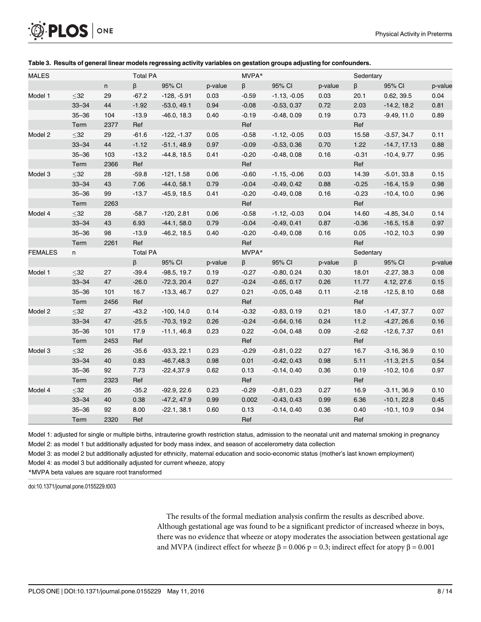<span id="page-7-0"></span>

| <b>MALES</b>   |           |      | <b>Total PA</b> |               |         | MVPA*   |                |         | Sedentary |                |         |
|----------------|-----------|------|-----------------|---------------|---------|---------|----------------|---------|-----------|----------------|---------|
|                |           | n    | β               | 95% CI        | p-value | $\beta$ | 95% CI         | p-value | $\beta$   | 95% CI         | p-value |
| Model 1        | $\leq$ 32 | 29   | $-67.2$         | $-128, -5.91$ | 0.03    | $-0.59$ | $-1.13, -0.05$ | 0.03    | 20.1      | 0.62, 39.5     | 0.04    |
|                | $33 - 34$ | 44   | $-1.92$         | $-53.0, 49.1$ | 0.94    | $-0.08$ | $-0.53, 0.37$  | 0.72    | 2.03      | $-14.2, 18.2$  | 0.81    |
|                | $35 - 36$ | 104  | $-13.9$         | $-46.0, 18.3$ | 0.40    | $-0.19$ | $-0.48, 0.09$  | 0.19    | 0.73      | $-9.49, 11.0$  | 0.89    |
|                | Term      | 2377 | Ref             |               |         | Ref     |                |         | Ref       |                |         |
| Model 2        | $\leq$ 32 | 29   | $-61.6$         | $-122, -1.37$ | 0.05    | $-0.58$ | $-1.12, -0.05$ | 0.03    | 15.58     | $-3.57, 34.7$  | 0.11    |
|                | $33 - 34$ | 44   | $-1.12$         | $-51.1, 48.9$ | 0.97    | $-0.09$ | $-0.53, 0.36$  | 0.70    | 1.22      | $-14.7, 17.13$ | 0.88    |
|                | $35 - 36$ | 103  | $-13.2$         | $-44.8, 18.5$ | 0.41    | $-0.20$ | $-0.48, 0.08$  | 0.16    | $-0.31$   | $-10.4, 9.77$  | 0.95    |
|                | Term      | 2366 | Ref             |               |         | Ref     |                |         | Ref       |                |         |
| Model 3        | $\leq$ 32 | 28   | $-59.8$         | $-121, 1.58$  | 0.06    | $-0.60$ | $-1.15, -0.06$ | 0.03    | 14.39     | $-5.01, 33.8$  | 0.15    |
|                | $33 - 34$ | 43   | 7.06            | $-44.0, 58.1$ | 0.79    | $-0.04$ | $-0.49, 0.42$  | 0.88    | $-0.25$   | $-16.4, 15.9$  | 0.98    |
|                | $35 - 36$ | 99   | $-13.7$         | $-45.9, 18.5$ | 0.41    | $-0.20$ | $-0.49, 0.08$  | 0.16    | $-0.23$   | $-10.4, 10.0$  | 0.96    |
|                | Term      | 2263 |                 |               |         | Ref     |                |         | Ref       |                |         |
| Model 4        | $\leq$ 32 | 28   | $-58.7$         | $-120, 2.81$  | 0.06    | $-0.58$ | $-1.12, -0.03$ | 0.04    | 14.60     | $-4.85, 34.0$  | 0.14    |
|                | $33 - 34$ | 43   | 6.93            | $-44.1, 58.0$ | 0.79    | $-0.04$ | $-0.49, 0.41$  | 0.87    | $-0.36$   | $-16.5, 15.8$  | 0.97    |
|                | $35 - 36$ | 98   | $-13.9$         | $-46.2, 18.5$ | 0.40    | $-0.20$ | $-0.49, 0.08$  | 0.16    | 0.05      | $-10.2, 10.3$  | 0.99    |
|                | Term      | 2261 | Ref             |               |         | Ref     |                |         | Ref       |                |         |
| <b>FEMALES</b> | n         |      | <b>Total PA</b> |               |         | MVPA*   |                |         | Sedentary |                |         |
|                |           |      | $\beta$         | 95% CI        | p-value | $\beta$ | 95% CI         | p-value | β         | 95% CI         | p-value |
| Model 1        | $\leq$ 32 | 27   | $-39.4$         | $-98.5, 19.7$ | 0.19    | $-0.27$ | $-0.80, 0.24$  | 0.30    | 18.01     | $-2.27, 38.3$  | 0.08    |
|                | $33 - 34$ | 47   | $-26.0$         | $-72.3, 20.4$ | 0.27    | $-0.24$ | $-0.65, 0.17$  | 0.26    | 11.77     | 4.12, 27.6     | 0.15    |
|                | $35 - 36$ | 101  | 16.7            | $-13.3, 46.7$ | 0.27    | 0.21    | $-0.05, 0.48$  | 0.11    | $-2.18$   | $-12.5, 8.10$  | 0.68    |
|                | Term      | 2456 | Ref             |               |         | Ref     |                |         | Ref       |                |         |
| Model 2        | $\leq$ 32 | 27   | $-43.2$         | $-100, 14.0$  | 0.14    | $-0.32$ | $-0.83, 0.19$  | 0.21    | 18.0      | $-1.47, 37.7$  | 0.07    |
|                | $33 - 34$ | 47   | $-25.5$         | $-70.3, 19.2$ | 0.26    | $-0.24$ | $-0.64, 0.16$  | 0.24    | 11.2      | $-4.27, 26.6$  | 0.16    |
|                | $35 - 36$ | 101  | 17.9            | $-11.1, 46.8$ | 0.23    | 0.22    | $-0.04, 0.48$  | 0.09    | $-2.62$   | $-12.6, 7.37$  | 0.61    |
|                | Term      | 2453 | Ref             |               |         | Ref     |                |         | Ref       |                |         |
| Model 3        | $\leq$ 32 | 26   | $-35.6$         | $-93.3, 22.1$ | 0.23    | $-0.29$ | $-0.81, 0.22$  | 0.27    | 16.7      | $-3.16, 36.9$  | 0.10    |
|                | $33 - 34$ | 40   | 0.83            | $-46.7, 48.3$ | 0.98    | 0.01    | $-0.42, 0.43$  | 0.98    | 5.11      | $-11.3, 21.5$  | 0.54    |
|                | $35 - 36$ | 92   | 7.73            | $-22.4,37.9$  | 0.62    | 0.13    | $-0.14, 0.40$  | 0.36    | 0.19      | $-10.2, 10.6$  | 0.97    |
|                | Term      | 2323 | Ref             |               |         | Ref     |                |         | Ref       |                |         |
| Model 4        | $32$      | 26   | $-35.2$         | $-92.9, 22.6$ | 0.23    | $-0.29$ | $-0.81, 0.23$  | 0.27    | 16.9      | $-3.11, 36.9$  | 0.10    |
|                | $33 - 34$ | 40   | 0.38            | $-47.2, 47.9$ | 0.99    | 0.002   | $-0.43, 0.43$  | 0.99    | 6.36      | $-10.1, 22.8$  | 0.45    |
|                | $35 - 36$ | 92   | 8.00            | $-22.1, 38.1$ | 0.60    | 0.13    | $-0.14, 0.40$  | 0.36    | 0.40      | $-10.1, 10.9$  | 0.94    |
|                | Term      | 2320 | Ref             |               |         | Ref     |                |         | Ref       |                |         |

#### [Table 3.](#page-6-0) Results of general linear models regressing activity variables on gestation groups adjusting for confounders.

Model 1: adjusted for single or multiple births, intrauterine growth restriction status, admission to the neonatal unit and maternal smoking in pregnancy Model 2: as model 1 but additionally adjusted for body mass index, and season of accelerometry data collection

Model 3: as model 2 but additionally adjusted for ethnicity, maternal education and socio-economic status (mother's last known employment)

Model 4: as model 3 but additionally adjusted for current wheeze, atopy

\*MVPA beta values are square root transformed

doi:10.1371/journal.pone.0155229.t003

The results of the formal mediation analysis confirm the results as described above. Although gestational age was found to be a significant predictor of increased wheeze in boys, there was no evidence that wheeze or atopy moderates the association between gestational age and MVPA (indirect effect for wheeze  $\beta = 0.006$  p = 0.3; indirect effect for atopy  $\beta = 0.001$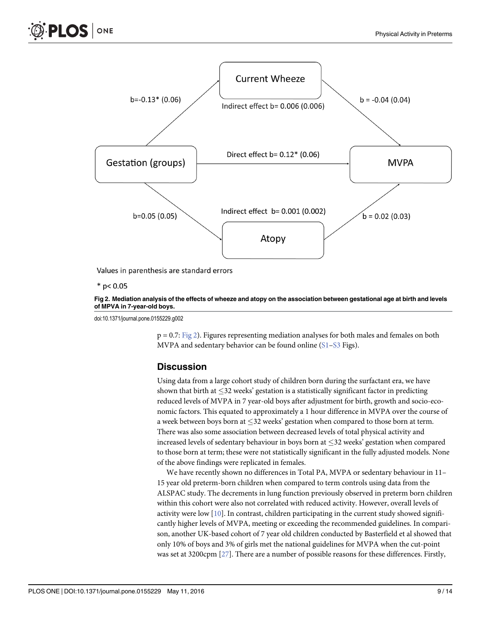<span id="page-8-0"></span>

Values in parenthesis are standard errors

 $*$  p< 0.05

#### [Fig 2. M](#page-7-0)ediation analysis of the effects of wheeze and atopy on the association between gestational age at birth and levels of MPVA in 7-year-old boys.

doi:10.1371/journal.pone.0155229.g002

 $p = 0.7$ : Fig 2). Figures representing mediation analyses for both males and females on both MVPA and sedentary behavior can be found online  $(S1 - S3$  $(S1 - S3$  $(S1 - S3$  Figs).

#### **Discussion**

Using data from a large cohort study of children born during the surfactant era, we have shown that birth at  $\leq$ 32 weeks' gestation is a statistically significant factor in predicting reduced levels of MVPA in 7 year-old boys after adjustment for birth, growth and socio-economic factors. This equated to approximately a 1 hour difference in MVPA over the course of a week between boys born at  $\leq$ 32 weeks' gestation when compared to those born at term. There was also some association between decreased levels of total physical activity and increased levels of sedentary behaviour in boys born at  $\leq$ 32 weeks' gestation when compared to those born at term; these were not statistically significant in the fully adjusted models. None of the above findings were replicated in females.

We have recently shown no differences in Total PA, MVPA or sedentary behaviour in 11– 15 year old preterm-born children when compared to term controls using data from the ALSPAC study. The decrements in lung function previously observed in preterm born children within this cohort were also not correlated with reduced activity. However, overall levels of activity were low [\[10\]](#page-12-0). In contrast, children participating in the current study showed significantly higher levels of MVPA, meeting or exceeding the recommended guidelines. In comparison, another UK-based cohort of 7 year old children conducted by Basterfield et al showed that only 10% of boys and 3% of girls met the national guidelines for MVPA when the cut-point was set at 3200cpm  $[27]$  $[27]$ . There are a number of possible reasons for these differences. Firstly,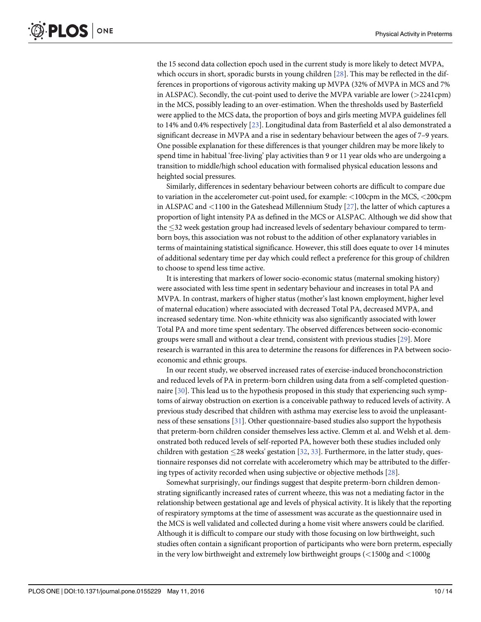<span id="page-9-0"></span>the 15 second data collection epoch used in the current study is more likely to detect MVPA, which occurs in short, sporadic bursts in young children [\[28\]](#page-13-0). This may be reflected in the differences in proportions of vigorous activity making up MVPA (32% of MVPA in MCS and 7% in ALSPAC). Secondly, the cut-point used to derive the MVPA variable are lower (>2241cpm) in the MCS, possibly leading to an over-estimation. When the thresholds used by Basterfield were applied to the MCS data, the proportion of boys and girls meeting MVPA guidelines fell to 14% and 0.4% respectively [\[23\]](#page-12-0). Longitudinal data from Basterfield et al also demonstrated a significant decrease in MVPA and a rise in sedentary behaviour between the ages of 7–9 years. One possible explanation for these differences is that younger children may be more likely to spend time in habitual 'free-living' play activities than 9 or 11 year olds who are undergoing a transition to middle/high school education with formalised physical education lessons and heighted social pressures.

Similarly, differences in sedentary behaviour between cohorts are difficult to compare due to variation in the accelerometer cut-point used, for example: <100cpm in the MCS, <200cpm in ALSPAC and <1100 in the Gateshead Millennium Study [\[27\]](#page-13-0), the latter of which captures a proportion of light intensity PA as defined in the MCS or ALSPAC. Although we did show that the 32 week gestation group had increased levels of sedentary behaviour compared to termborn boys, this association was not robust to the addition of other explanatory variables in terms of maintaining statistical significance. However, this still does equate to over 14 minutes of additional sedentary time per day which could reflect a preference for this group of children to choose to spend less time active.

It is interesting that markers of lower socio-economic status (maternal smoking history) were associated with less time spent in sedentary behaviour and increases in total PA and MVPA. In contrast, markers of higher status (mother's last known employment, higher level of maternal education) where associated with decreased Total PA, decreased MVPA, and increased sedentary time. Non-white ethnicity was also significantly associated with lower Total PA and more time spent sedentary. The observed differences between socio-economic groups were small and without a clear trend, consistent with previous studies [\[29](#page-13-0)]. More research is warranted in this area to determine the reasons for differences in PA between socioeconomic and ethnic groups.

In our recent study, we observed increased rates of exercise-induced bronchoconstriction and reduced levels of PA in preterm-born children using data from a self-completed questionnaire [[30](#page-13-0)]. This lead us to the hypothesis proposed in this study that experiencing such symptoms of airway obstruction on exertion is a conceivable pathway to reduced levels of activity. A previous study described that children with asthma may exercise less to avoid the unpleasantness of these sensations [\[31\]](#page-13-0). Other questionnaire-based studies also support the hypothesis that preterm-born children consider themselves less active. Clemm et al. and Welsh et al. demonstrated both reduced levels of self-reported PA, however both these studies included only children with gestation  $\leq$ 28 weeks' gestation [[32](#page-13-0), [33](#page-13-0)]. Furthermore, in the latter study, questionnaire responses did not correlate with accelerometry which may be attributed to the differing types of activity recorded when using subjective or objective methods [[28](#page-13-0)].

Somewhat surprisingly, our findings suggest that despite preterm-born children demonstrating significantly increased rates of current wheeze, this was not a mediating factor in the relationship between gestational age and levels of physical activity. It is likely that the reporting of respiratory symptoms at the time of assessment was accurate as the questionnaire used in the MCS is well validated and collected during a home visit where answers could be clarified. Although it is difficult to compare our study with those focusing on low birthweight, such studies often contain a significant proportion of participants who were born preterm, especially in the very low birthweight and extremely low birthweight groups (<1500g and <1000g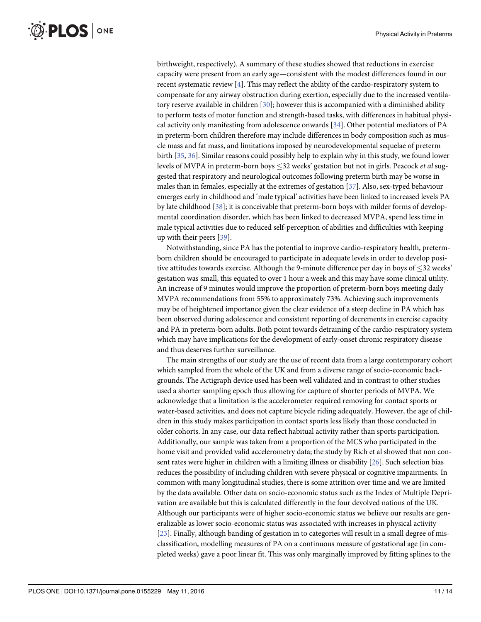<span id="page-10-0"></span>birthweight, respectively). A summary of these studies showed that reductions in exercise capacity were present from an early age—consistent with the modest differences found in our recent systematic review  $[4]$  $[4]$ . This may reflect the ability of the cardio-respiratory system to compensate for any airway obstruction during exertion, especially due to the increased ventilatory reserve available in children [\[30\]](#page-13-0); however this is accompanied with a diminished ability to perform tests of motor function and strength-based tasks, with differences in habitual physical activity only manifesting from adolescence onwards [\[34\]](#page-13-0). Other potential mediators of PA in preterm-born children therefore may include differences in body composition such as muscle mass and fat mass, and limitations imposed by neurodevelopmental sequelae of preterm birth [\[35,](#page-13-0) [36\]](#page-13-0). Similar reasons could possibly help to explain why in this study, we found lower levels of MVPA in preterm-born boys <32 weeks' gestation but not in girls. Peacock *et al* suggested that respiratory and neurological outcomes following preterm birth may be worse in males than in females, especially at the extremes of gestation [[37](#page-13-0)]. Also, sex-typed behaviour emerges early in childhood and 'male typical' activities have been linked to increased levels PA by late childhood  $[38]$ ; it is conceivable that preterm-born boys with milder forms of developmental coordination disorder, which has been linked to decreased MVPA, spend less time in male typical activities due to reduced self-perception of abilities and difficulties with keeping up with their peers [[39\]](#page-13-0).

Notwithstanding, since PA has the potential to improve cardio-respiratory health, pretermborn children should be encouraged to participate in adequate levels in order to develop positive attitudes towards exercise. Although the 9-minute difference per day in boys of  $\leq$ 32 weeks' gestation was small, this equated to over 1 hour a week and this may have some clinical utility. An increase of 9 minutes would improve the proportion of preterm-born boys meeting daily MVPA recommendations from 55% to approximately 73%. Achieving such improvements may be of heightened importance given the clear evidence of a steep decline in PA which has been observed during adolescence and consistent reporting of decrements in exercise capacity and PA in preterm-born adults. Both point towards detraining of the cardio-respiratory system which may have implications for the development of early-onset chronic respiratory disease and thus deserves further surveillance.

The main strengths of our study are the use of recent data from a large contemporary cohort which sampled from the whole of the UK and from a diverse range of socio-economic backgrounds. The Actigraph device used has been well validated and in contrast to other studies used a shorter sampling epoch thus allowing for capture of shorter periods of MVPA. We acknowledge that a limitation is the accelerometer required removing for contact sports or water-based activities, and does not capture bicycle riding adequately. However, the age of children in this study makes participation in contact sports less likely than those conducted in older cohorts. In any case, our data reflect habitual activity rather than sports participation. Additionally, our sample was taken from a proportion of the MCS who participated in the home visit and provided valid accelerometry data; the study by Rich et al showed that non consent rates were higher in children with a limiting illness or disability [\[26](#page-13-0)]. Such selection bias reduces the possibility of including children with severe physical or cognitive impairments. In common with many longitudinal studies, there is some attrition over time and we are limited by the data available. Other data on socio-economic status such as the Index of Multiple Deprivation are available but this is calculated differently in the four devolved nations of the UK. Although our participants were of higher socio-economic status we believe our results are generalizable as lower socio-economic status was associated with increases in physical activity [\[23](#page-12-0)]. Finally, although banding of gestation in to categories will result in a small degree of misclassification, modelling measures of PA on a continuous measure of gestational age (in completed weeks) gave a poor linear fit. This was only marginally improved by fitting splines to the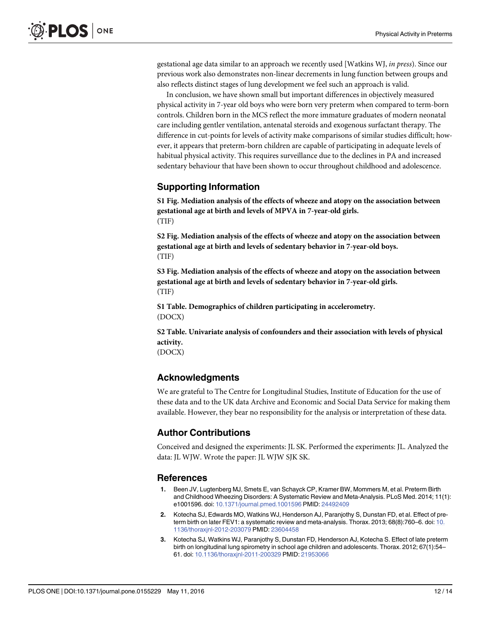<span id="page-11-0"></span>gestational age data similar to an approach we recently used [Watkins WJ, in press). Since our previous work also demonstrates non-linear decrements in lung function between groups and also reflects distinct stages of lung development we feel such an approach is valid.

In conclusion, we have shown small but important differences in objectively measured physical activity in 7-year old boys who were born very preterm when compared to term-born controls. Children born in the MCS reflect the more immature graduates of modern neonatal care including gentler ventilation, antenatal steroids and exogenous surfactant therapy. The difference in cut-points for levels of activity make comparisons of similar studies difficult; however, it appears that preterm-born children are capable of participating in adequate levels of habitual physical activity. This requires surveillance due to the declines in PA and increased sedentary behaviour that have been shown to occur throughout childhood and adolescence.

#### Supporting Information

[S1 Fig.](http://www.plosone.org/article/fetchSingleRepresentation.action?uri=info:doi/10.1371/journal.pone.0155229.s001) Mediation analysis of the effects of wheeze and atopy on the association between gestational age at birth and levels of MPVA in 7-year-old girls. (TIF)

[S2 Fig.](http://www.plosone.org/article/fetchSingleRepresentation.action?uri=info:doi/10.1371/journal.pone.0155229.s002) Mediation analysis of the effects of wheeze and atopy on the association between gestational age at birth and levels of sedentary behavior in 7-year-old boys. (TIF)

[S3 Fig.](http://www.plosone.org/article/fetchSingleRepresentation.action?uri=info:doi/10.1371/journal.pone.0155229.s003) Mediation analysis of the effects of wheeze and atopy on the association between gestational age at birth and levels of sedentary behavior in 7-year-old girls. (TIF)

[S1 Table](http://www.plosone.org/article/fetchSingleRepresentation.action?uri=info:doi/10.1371/journal.pone.0155229.s004). Demographics of children participating in accelerometry. (DOCX)

[S2 Table](http://www.plosone.org/article/fetchSingleRepresentation.action?uri=info:doi/10.1371/journal.pone.0155229.s005). Univariate analysis of confounders and their association with levels of physical activity.

(DOCX)

#### Acknowledgments

We are grateful to The Centre for Longitudinal Studies, Institute of Education for the use of these data and to the UK data Archive and Economic and Social Data Service for making them available. However, they bear no responsibility for the analysis or interpretation of these data.

# Author Contributions

Conceived and designed the experiments: JL SK. Performed the experiments: JL. Analyzed the data: JL WJW. Wrote the paper: JL WJW SJK SK.

#### References

- [1.](#page-1-0) Been JV, Lugtenberg MJ, Smets E, van Schayck CP, Kramer BW, Mommers M, et al. Preterm Birth and Childhood Wheezing Disorders: A Systematic Review and Meta-Analysis. PLoS Med. 2014; 11(1): e1001596. doi: [10.1371/journal.pmed.1001596](http://dx.doi.org/10.1371/journal.pmed.1001596) PMID: [24492409](http://www.ncbi.nlm.nih.gov/pubmed/24492409)
- [2.](#page-1-0) Kotecha SJ, Edwards MO, Watkins WJ, Henderson AJ, Paranjothy S, Dunstan FD, et al. Effect of pre-term birth on later FEV1: a systematic review and meta-analysis. Thorax. 2013; 68(8):760–6. doi: [10.](http://dx.doi.org/10.1136/thoraxjnl-2012-203079) [1136/thoraxjnl-2012-203079](http://dx.doi.org/10.1136/thoraxjnl-2012-203079) PMID: [23604458](http://www.ncbi.nlm.nih.gov/pubmed/23604458)
- [3.](#page-1-0) Kotecha SJ, Watkins WJ, Paranjothy S, Dunstan FD, Henderson AJ, Kotecha S. Effect of late preterm birth on longitudinal lung spirometry in school age children and adolescents. Thorax. 2012; 67(1):54– 61. doi: [10.1136/thoraxjnl-2011-200329](http://dx.doi.org/10.1136/thoraxjnl-2011-200329) PMID: [21953066](http://www.ncbi.nlm.nih.gov/pubmed/21953066)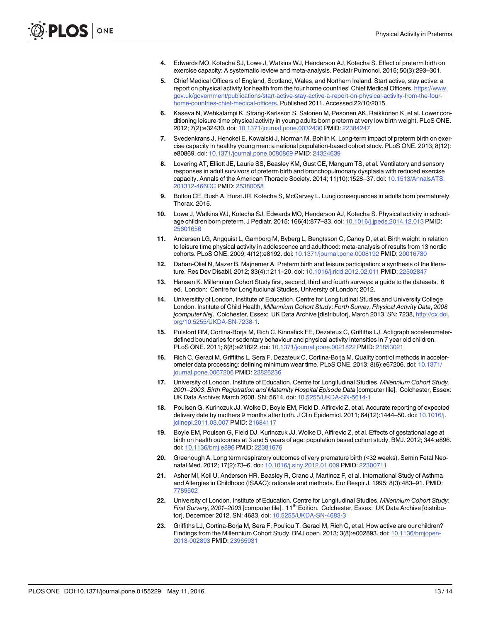- <span id="page-12-0"></span>[4.](#page-1-0) Edwards MO, Kotecha SJ, Lowe J, Watkins WJ, Henderson AJ, Kotecha S. Effect of preterm birth on exercise capacity: A systematic review and meta-analysis. Pediatr Pulmonol. 2015; 50(3):293–301.
- [5.](#page-1-0) Chief Medical Officers of England, Scotland, Wales, and Northern Ireland. Start active, stay active: a report on physical activity for health from the four home countries' Chief Medical Officers. [https://www.](https://www.gov.uk/government/publications/start-active-stay-active-a-report-on-physical-activity-from-the-four-home-countries-chief-medical-officers) [gov.uk/government/publications/start-active-stay-active-a-report-on-physical-activity-from-the-four](https://www.gov.uk/government/publications/start-active-stay-active-a-report-on-physical-activity-from-the-four-home-countries-chief-medical-officers)[home-countries-chief-medical-officers.](https://www.gov.uk/government/publications/start-active-stay-active-a-report-on-physical-activity-from-the-four-home-countries-chief-medical-officers) Published 2011. Accessed 22/10/2015.
- [6.](#page-1-0) Kaseva N, Wehkalampi K, Strang-Karlsson S, Salonen M, Pesonen AK, Raikkonen K, et al. Lower conditioning leisure-time physical activity in young adults born preterm at very low birth weight. PLoS ONE. 2012; 7(2):e32430. doi: [10.1371/journal.pone.0032430](http://dx.doi.org/10.1371/journal.pone.0032430) PMID: [22384247](http://www.ncbi.nlm.nih.gov/pubmed/22384247)
- 7. Svedenkrans J, Henckel E, Kowalski J, Norman M, Bohlin K. Long-term impact of preterm birth on exercise capacity in healthy young men: a national population-based cohort study. PLoS ONE. 2013; 8(12): e80869. doi: [10.1371/journal.pone.0080869](http://dx.doi.org/10.1371/journal.pone.0080869) PMID: [24324639](http://www.ncbi.nlm.nih.gov/pubmed/24324639)
- [8.](#page-1-0) Lovering AT, Elliott JE, Laurie SS, Beasley KM, Gust CE, Mangum TS, et al. Ventilatory and sensory responses in adult survivors of preterm birth and bronchopulmonary dysplasia with reduced exercise capacity. Annals of the American Thoracic Society. 2014; 11(10):1528–37. doi: [10.1513/AnnalsATS.](http://dx.doi.org/10.1513/AnnalsATS.201312-466OC) [201312-466OC](http://dx.doi.org/10.1513/AnnalsATS.201312-466OC) PMID: [25380058](http://www.ncbi.nlm.nih.gov/pubmed/25380058)
- [9.](#page-1-0) Bolton CE, Bush A, Hurst JR, Kotecha S, McGarvey L. Lung consequences in adults born prematurely. Thorax. 2015.
- [10.](#page-1-0) Lowe J, Watkins WJ, Kotecha SJ, Edwards MO, Henderson AJ, Kotecha S. Physical activity in schoolage children born preterm. J Pediatr. 2015; 166(4):877–83. doi: [10.1016/j.jpeds.2014.12.013](http://dx.doi.org/10.1016/j.jpeds.2014.12.013) PMID: [25601656](http://www.ncbi.nlm.nih.gov/pubmed/25601656)
- [11.](#page-1-0) Andersen LG, Angquist L, Gamborg M, Byberg L, Bengtsson C, Canoy D, et al. Birth weight in relation to leisure time physical activity in adolescence and adulthood: meta-analysis of results from 13 nordic cohorts. PLoS ONE. 2009; 4(12):e8192. doi: [10.1371/journal.pone.0008192](http://dx.doi.org/10.1371/journal.pone.0008192) PMID: [20016780](http://www.ncbi.nlm.nih.gov/pubmed/20016780)
- [12.](#page-1-0) Dahan-Oliel N, Mazer B, Majnemer A. Preterm birth and leisure participation: a synthesis of the literature. Res Dev Disabil. 2012; 33(4):1211–20. doi: [10.1016/j.ridd.2012.02.011](http://dx.doi.org/10.1016/j.ridd.2012.02.011) PMID: [22502847](http://www.ncbi.nlm.nih.gov/pubmed/22502847)
- [13.](#page-1-0) Hansen K. Millennium Cohort Study first, second, third and fourth surveys: a guide to the datasets. 6 ed. London: Centre for Longitudiunal Studies, University of London; 2012.
- [14.](#page-2-0) Universitity of London, Institute of Education. Centre for Longitudinal Studies and University College London. Institute of Child Health, Millennium Cohort Study: Forth Survey, Physical Activity Data, 2008 [computer file]. Colchester, Essex: UK Data Archive [distributor], March 2013. SN: 7238, [http://dx.doi.](http://dx.doi.org/10.5255/UKDA-SN-7238-1) [org/10.5255/UKDA-SN-7238-1](http://dx.doi.org/10.5255/UKDA-SN-7238-1).
- [15.](#page-2-0) Pulsford RM, Cortina-Borja M, Rich C, Kinnafick FE, Dezateux C, Griffiths LJ. Actigraph accelerometerdefined boundaries for sedentary behaviour and physical activity intensities in 7 year old children. PLoS ONE. 2011; 6(8):e21822. doi: [10.1371/journal.pone.0021822](http://dx.doi.org/10.1371/journal.pone.0021822) PMID: [21853021](http://www.ncbi.nlm.nih.gov/pubmed/21853021)
- [16.](#page-2-0) Rich C, Geraci M, Griffiths L, Sera F, Dezateux C, Cortina-Borja M. Quality control methods in accelerometer data processing: defining minimum wear time. PLoS ONE. 2013; 8(6):e67206. doi: [10.1371/](http://dx.doi.org/10.1371/journal.pone.0067206) [journal.pone.0067206](http://dx.doi.org/10.1371/journal.pone.0067206) PMID: [23826236](http://www.ncbi.nlm.nih.gov/pubmed/23826236)
- [17.](#page-2-0) University of London. Institute of Education. Centre for Longitudinal Studies, Millennium Cohort Study, 2001–2003: Birth Registration and Maternity Hospital Episode Data [computer file]. Colchester, Essex: UK Data Archive; March 2008. SN: 5614, doi: [10.5255/UKDA-SN-5614-1](http://dx.doi.org/10.5255/UKDA-SN-5614-1)
- [18.](#page-2-0) Poulsen G, Kurinczuk JJ, Wolke D, Boyle EM, Field D, Alfirevic Z, et al. Accurate reporting of expected delivery date by mothers 9 months after birth. J Clin Epidemiol. 2011; 64(12):1444–50. doi: [10.1016/j.](http://dx.doi.org/10.1016/j.jclinepi.2011.03.007) [jclinepi.2011.03.007](http://dx.doi.org/10.1016/j.jclinepi.2011.03.007) PMID: [21684117](http://www.ncbi.nlm.nih.gov/pubmed/21684117)
- [19.](#page-2-0) Boyle EM, Poulsen G, Field DJ, Kurinczuk JJ, Wolke D, Alfirevic Z, et al. Effects of gestational age at birth on health outcomes at 3 and 5 years of age: population based cohort study. BMJ. 2012; 344:e896. doi: [10.1136/bmj.e896](http://dx.doi.org/10.1136/bmj.e896) PMID: [22381676](http://www.ncbi.nlm.nih.gov/pubmed/22381676)
- [20.](#page-2-0) Greenough A. Long term respiratory outcomes of very premature birth (<32 weeks). Semin Fetal Neo-natal Med. 2012; 17(2):73-6. doi: [10.1016/j.siny.2012.01.009](http://dx.doi.org/10.1016/j.siny.2012.01.009) PMID: [22300711](http://www.ncbi.nlm.nih.gov/pubmed/22300711)
- [21.](#page-2-0) Asher MI, Keil U, Anderson HR, Beasley R, Crane J, Martinez F, et al. International Study of Asthma and Allergies in Childhood (ISAAC): rationale and methods. Eur Respir J. 1995; 8(3):483–91. PMID: [7789502](http://www.ncbi.nlm.nih.gov/pubmed/7789502)
- [22.](#page-2-0) University of London. Institute of Education. Centre for Longitudinal Studies, Millennium Cohort Study: First Survery, 2001–2003 [computer file]. 11<sup>th</sup> Edition. Colchester, Essex: UK Data Archive [distributor], December 2012. SN: 4683, doi: [10.5255/UKDA-SN-4683-3](http://dx.doi.org/10.5255/UKDA-SN-4683-3)
- [23.](#page-4-0) Griffiths LJ, Cortina-Borja M, Sera F, Pouliou T, Geraci M, Rich C, et al. How active are our children? Findings from the Millennium Cohort Study. BMJ open. 2013; 3(8):e002893. doi: [10.1136/bmjopen-](http://dx.doi.org/10.1136/bmjopen-2013-002893)[2013-002893](http://dx.doi.org/10.1136/bmjopen-2013-002893) PMID: [23965931](http://www.ncbi.nlm.nih.gov/pubmed/23965931)